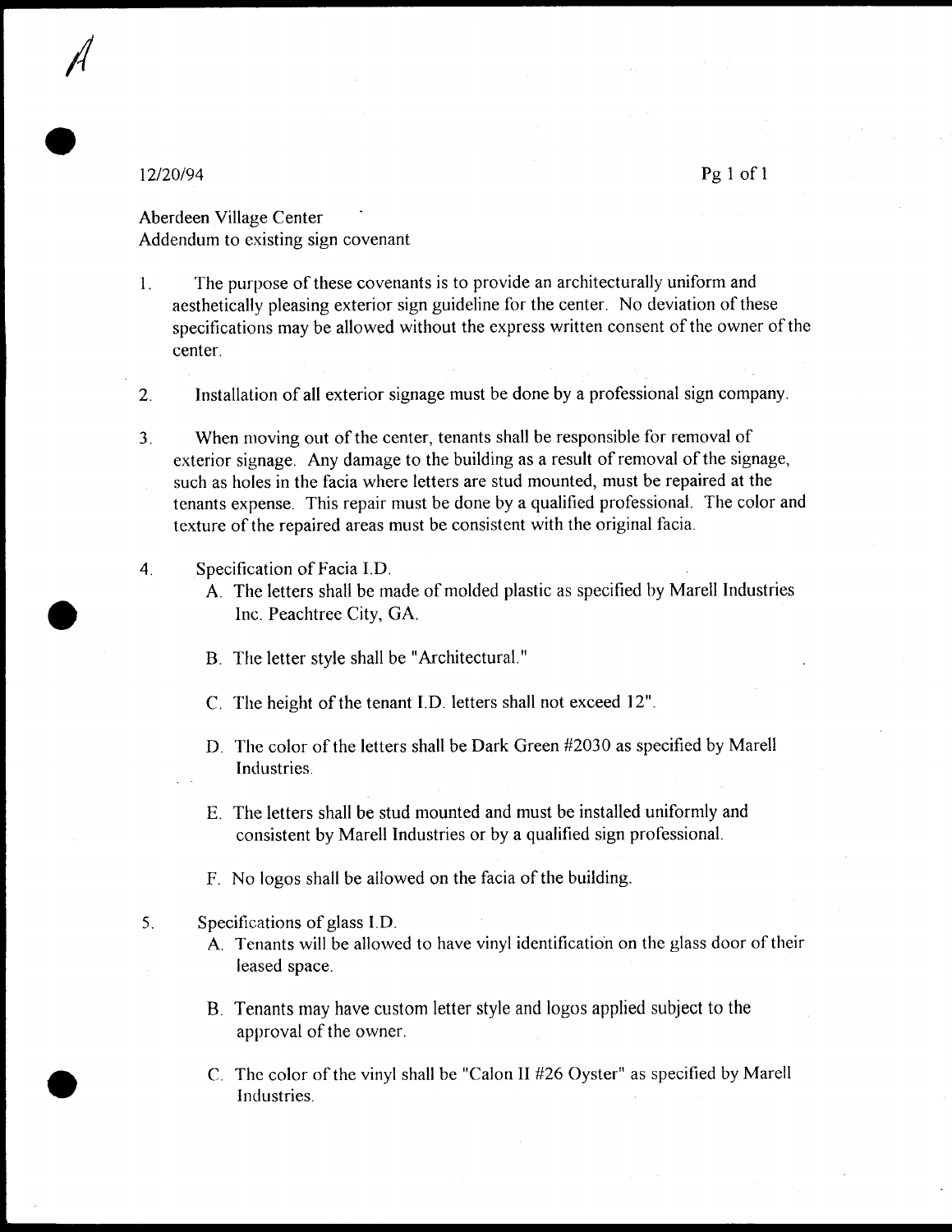II

e

e

e

 $120/94$  Pg 1 of 1

Aberdeen Village Center Addendum to existing sign covenant

1. The purpose of these covenants is to provide an architecturally uniform and aesthetically pleasing exterior sign guideline for the center. No deviation of these specifications may be allowed without the express written consent of the owner of the center

2 Installation of all exterior signage must be done by <sup>a</sup> professional sign company

- 3. When moving out of the center, tenants shall be responsible for removal of exterior signage. Any damage to the building as a result of removal of the signage, such as holes in the facia where letters are stud mounted, must be repaired at the tenants expense. This repair must be done by a qualified professional. The color and texture of the repaired areas must be consistent with the original facia
- 4. Specification of Facia I.D.
	- A The letters shall be made of molded plastic as specified by Marell Industries Inc. Peachtree City, GA.
	- B. The letter style shall be "Architectural."
	- C. The height of the tenant I.D. letters shall not exceed 12".
	- D. The color of the letters shall be Dark Green #2030 as specified by Marell Industries
	- E The letters shall be stud mounted and must be installed uniformly and consistent by Marell Industries or by <sup>a</sup> qualified sign professional
	- F. No logos shall be allowed on the facia of the building.
- 5. Specifications of glass I.D.
	- A. Tenants will be allowed to have vinyl identification on the glass door of their leased space
	- B. Tenants may have custom letter style and logos applied subject to the approval of the owner
	- C. The color of the vinyl shall be "Calon II  $#26$  Oyster" as specified by Marell Industries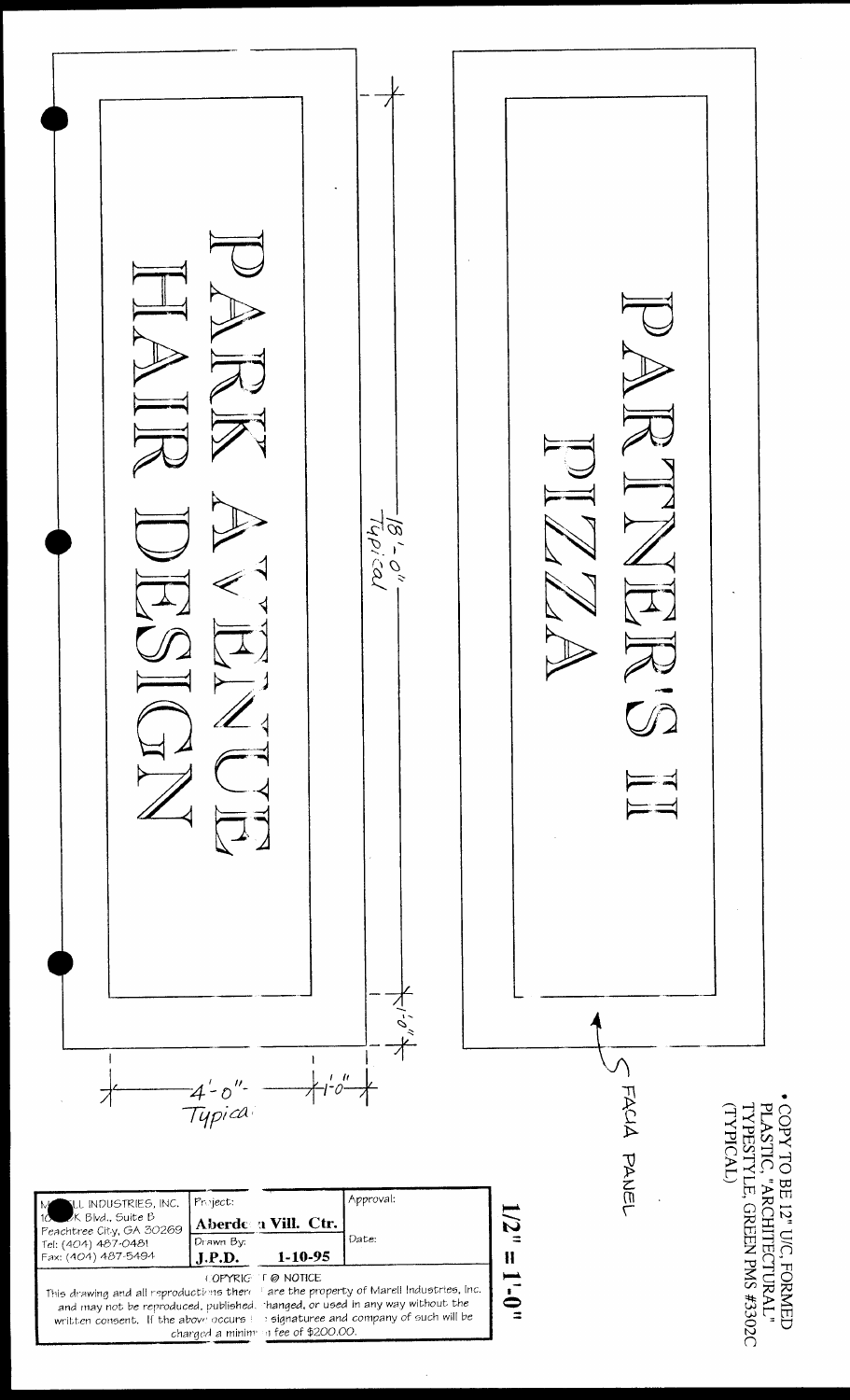